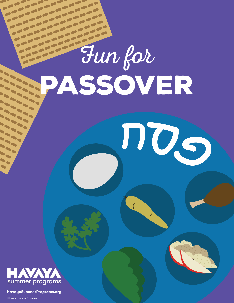# Fun for **PASSOVER**





**HavayaSummerPrograms.org**

 $\sim$ 

 $\sum_{i=1}^{n}$  $\ddot{\phantom{a}}$  $\begin{matrix} \end{matrix}$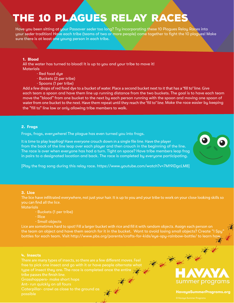### The 10 Plagues Relay Races

Have you been sitting at your Passover *seder* too long? Try incorporating these 10 Plagues Relay Races into your *seder* tradition! Have each tribe (teams of two or more people) come together to fight the 10 plagues! Make sure there is at least one young person in each tribe.

#### **1. Blood**

All the water has turned to blood! It is up to you and your tribe to move it! **Materials** 

- · Red food dye
- · Buckets (2 per tribe)
- · Spoons (1 per tribe)

Add a few drops of red food dye to a bucket of water. Place a second bucket next to it that has a "fill to" line. Give each team a spoon and have them line up running distance from the two buckets. The goal is to have each team move the "blood" from one bucket to the next by each person running with the spoon and moving one spoon of water from one bucket to the next. Have them repeat until they reach the "fill to" line. Make the race easier by keeping the "fill to" line low or only allowing tribe members to walk.

#### **2. Frogs**

Frogs, frogs, everywhere! The plague has even turned you into frogs.

It is time to play leapfrog! Have everyone crouch down in a single file line. Have the player from the back of the line leap over each player and then crouch in the beginning of the line. The race is over when everyone has had a turn. Tight on space? Have tribe members leap frog in pairs to a designated location and back. The race is completed by everyone participating.



[Play the frog song during this relay race. https://www.youtube.com/watch?v=7M19iDgcLM8]

#### **3. Lice**

The lice have infiltrated everywhere, not just your hair. It is up to you and your tribe to work on your close looking skills so you can find all the lice.

**Materials** 

- · Buckets (1 per tribe)
- · Rice
- · Small objects

Lice are sometimes hard to spot! Fill a larger bucket with rice and fill it with random objects. Assign each person on the team an object and have them search for it in the bucket. Want to avoid losing small objects? Create "I Spy bottles for each team. Visit http://www.pbs.org/parents/crafts-for-kids/eye-spy-rainbow-bottle/ to learn ho

#### **4. Insects**

There are many types of insects, so there are a few different moves. Feel type of insect they are. The race is completed once the entire tribe passes the finish line. Grasshoppers- make short hops

Caterpillar- crawl as close to the ground as possible **Catalog Contract of the second of the second of the second of the second second second second second second second second second second second second second second second second second second second second second** 

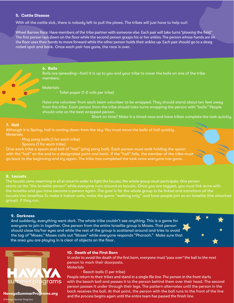#### **5. Cattle Disease**

With all the cattle sick, there is nobody left to pull the plows. The tribes will just have to help out!

Wheel Barrow Race: Have members of the tribe partner with someone else. Each pair will take turns "plowing the field."<br>The first person lays down on the floor while the second person grasps his or her ankles. The person wh the floor uses their hands to move forward while the other person holds their ankles up. Each pair should go to a desig nated spot and back. Once each pair has gone, the race is over.



**6. Boils**

Boils are spreading—fast! It is up to you and your tribe to cover the boils on one of the tribe members.

#### **Materials**

· Toilet paper (1-2 rolls per tribe)

Have one volunteer from each team volunteer to be wrapped. They should stand about ten feet away from the tribe. Each person from the tribe should take turns wrapping the person with "boils." People should vote on the best wrapped person.

Short on time? Make it a timed race and have tribes complete the task quickly.

#### **7. Hail**

Although it is Spring, hail is coming down from the sky. You must move the balls of hail quickly. **Materials** 

- · Ping pong balls (1 for each tribe)
- · Spoons (1 for each tribe)

Give each tribe a spoon and ball of "hail" (ping pong ball). Each person must walk holding the spoon with the "hail" on the end to a designated point and back. If the "hail" falls, the member of the tribe must go back to the beginning and try again. The tribe has completed the task once everyone has gone.

#### **8. Locusts**

The locusts came swarming in all at once! In order to fight the locusts, the whole group must participate. One person starts as the "the Israelite person" while everyone runs around as locusts. Once you are tagged, you must link arms with the Israelite and you have become a person again. The goal is for the whole group to be linked and transform all the locusts into Israelites. To make it indoor-safe, make the game "walking only" and have people join as an Israelite (the attached group) if they run.

#### **9. Darkness**

And suddenly, everything went dark. The whole tribe couldn't see anything. This is a game for everyone to join in together. One person from the entire Israelite group is Moses. That person should close his/her eyes and while the rest of the group is scattered around and tries to avoid the tag of "Moses." Moses calls out "Moses" while everyone responds "Pharaoh." Make sure that the area you are playing in is clear of objects on the floor.





#### **10. Death of the First Born**

In order to avoid the death of the first born, everyone must "pass over" the ball to the next person to mark their doorposts. **Materials** 

· Beach balls (1 per tribe)

People return to their tribes and stand in a single file line. The person in the front starts with the beach ball and passes it to the person behind them over their head. The second person passes it under through their legs. The pattern alternates until the person in the back receives the ball. At that point, the person with the ball runs to the front of the line **HavayaSummerPrograms.org**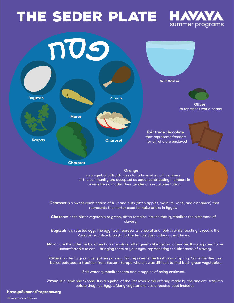## THE SEDER PLATE HAVAY





*Karpas* is a leafy green, very often parsley, that represents the freshness of spring. Some families use boiled potatoes, a tradition from Eastern Europe where it was difficult to find fresh green vegetables.

Salt water symbolizes tears and struggles of being enslaved.

*Z'roah* is a lamb shankbone. It is a symbol of the Passover lamb offering made by the ancient Israelites before they fled Egypt. Many vegetarians use a roasted beet instead.

#### **HavayaSummerPrograms.org**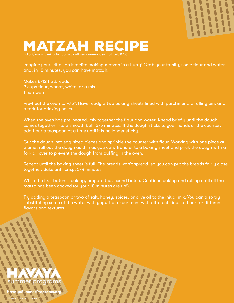

#### Matzah Recipe http://www.thekitchn.com/try-this-homemade-matzo-81256

Imagine yourself as an Israelite making matzah in a hurry! Grab your family, some flour and water and, in 18 minutes, you can have matzah.

Makes 8-12 flatbreads 2 cups flour, wheat, white, or a mix 1 cup water

Pre-heat the oven to 475°. Have ready a two baking sheets lined with parchment, a rolling pin, and a fork for pricking holes.

When the oven has pre-heated, mix together the flour and water. Knead briefly until the dough comes together into a smooth ball, 3-5 minutes. If the dough sticks to your hands or the counter, add flour a teaspoon at a time until it is no longer sticky.

Cut the dough into egg-sized pieces and sprinkle the counter with flour. Working with one piece at a time, roll out the dough as thin as you can. Transfer to a baking sheet and prick the dough with a fork all over to prevent the dough from puffing in the oven.

Repeat until the baking sheet is full. The breads won't spread, so you can put the breads fairly close together. Bake until crisp, 3-4 minutes.

While the first batch is baking, prepare the second batch. Continue baking and rolling until all the matzo has been cooked (or your 18 minutes are up!).

Try adding a teaspoon or two of salt, honey, spices, or olive oil to the initial mix. You can also try substituting some of the water with yogurt or experiment with different kinds of flour for different flavors and textures.



© Havaya Summer Programs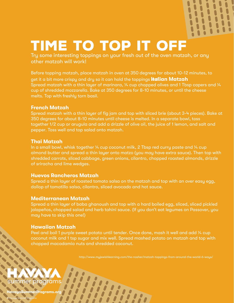

## TIME TO TOP IT OFF

Try some interesting toppings on your fresh out of the oven matzah, or any other matzah will work!

Before topping matzah, place matzah in oven at 350 degrees for about 10-12 minutes, to get it a bit more crispy and dry so it can hold the toppings well. **Italian Matzah** Spread matzah with a thin layer of marinara,  $\frac{1}{4}$  cup chopped olives and 1 Tbsp capers and  $\frac{1}{4}$ cup of shredded mozzarella. Bake at 350 degrees for 8-10 minutes, or until the cheese melts. Top with freshly torn basil.

#### **French Matzah**

Spread matzah with a thin layer of fig jam and top with sliced brie (about 3-4 pieces). Bake at 350 degrees for about 8-10 minutes until cheese is melted. In a separate bowl, toss together 1/2 cup or arugula and add a drizzle of olive oil, the juice of 1 lemon, and salt and pepper. Toss well and top salad onto matzah.

#### **Thai Matzah**

In a small bowl, whisk together 1/4 cup coconut milk, 2 Tbsp red curry paste and 1/4 cup almond butter and spread a thin layer onto matzo (you may have extra sauce). Then top with shredded carrots, sliced cabbage, green onions, cilantro, chopped roasted almonds, drizzle of sriracha and lime wedges.

#### **Huevos Rancheros Matzah**

Spread a thin layer of roasted tomato salsa on the matzah and top with an over easy egg, dollop of tomatillo salsa, cilantro, sliced avocado and hot sauce.

#### **Mediterranean Matzah**

Spread a thin layer of baba ghanoush and top with a hard boiled egg, sliced, sliced pickled jalapeños, chopped salad and herb tahini sauce. (If you don't eat legumes on Passover, you may have to skip this one!)

#### **Hawaiian Matzah**

Peel and boil 1 purple sweet potato until tender. Once done, mash it well and add 1/4 cup coconut milk and 1 tsp sugar and mix well. Spread mashed potato on matzah and top with chopped macadamia nuts and shredded coconut.

http://www.myjewishlearning.com/the-nosher/matzah-toppings-from-around-the-world-6-ways/



**Programs.org** 

© Havaya Summer Programs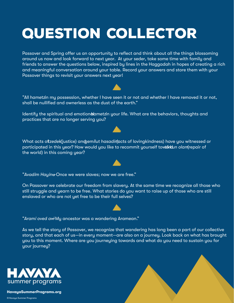## Question Collector

Passover and Spring offer us an opportunity to reflect and think about all the things blossoming around us now and look forward to next year. At your seder, take some time with family and friends to answer the questions below, inspired by lines in the Haggadah in hopes of creating a rich and meaningful conversation around your table. Record your answers and store them with your Passover things to revisit your answers next year!

"All hametzin my possession, whether I have seen it or not and whether I have removed it or not, shall be nullified and ownerless as the dust of the earth."

Identify the spiritual and emotional ametzin your life. What are the behaviors, thoughts and practices that are no longer serving you?

What acts oftzedek(justice) and *gemilut hasadin (acts of lovingkindness*) have you witnessed or participated in this year? How would you like to recommit yourself tow that *olam* (repair of the world) in this coming year?

"Avadim Hayin<del>u</del>-Once we were slaves; now we are free."

On Passover we celebrate our freedom from slavery. At the same time we recognize all those who still struggle and yearn to be free. What stories do you want to raise up of those who are still enslaved or who are not yet free to be their full selves?

"*Arami oved avi*—My ancestor was a wandering Aramean."

As we tell the story of Passover, we recognize that wandering has long been a part of our collective story, and that each of us—in every moment—are also on a journey. Look back on what has brought you to this moment. Where are you journeying towards and what do you need to sustain you for your journey?



**HavayaSummerPrograms.org**







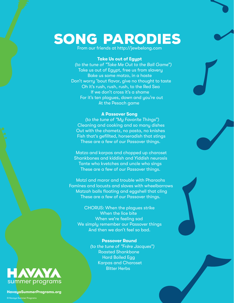## Song Parodies

From our friends at http://jewbelong.com

#### **Take Us out of Egypt**

*(to the tune of "Take Me Out to the Ball Game")*  Take us out of Egypt, free us from slavery Bake us some matzo, in a haste Don't worry 'bout flavor, give no thought to taste Oh it's rush, rush, rush, to the Red Sea If we don't cross it's a shame For it's ten plagues, down and you're out At the Pesach game

#### **A Passover Song**

*(to the tune of "My Favorite Things")*  Cleaning and cooking and so many dishes Out with the chametz, no pasta, no knishes Fish that's gefillted, horseradish that stings These are a few of our Passover things.

Matzo and karpas and chopped up charoset Shankbones and kiddish and Yiddish neurosis Tante who kvetches and uncle who sings These are a few of our Passover things.

Motzi and maror and trouble with Pharaohs Famines and locusts and slaves with wheelbarrows Matzah balls floating and eggshell that cling These are a few of our Passover things.

CHORUS: When the plagues strike When the lice bite When we're feeling sad We simply remember our Passover things And then we don't feel so bad.

#### **Passover Round**  *(to the tune of "Frère Jacques")*  Roasted Shankbone Hard Boiled Egg Karpas and Charoset Bitter Herbs



**HavayaSummerPrograms.org**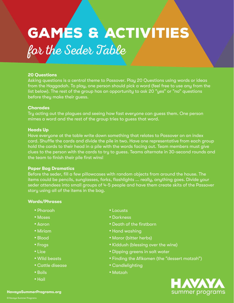## GAMES & ACTIVITIES

#### **20 Questions**

Asking questions is a central theme to Passover. Play 20 Questions using words or ideas from the Haggadah. To play, one person should pick a word (feel free to use any from the list below). The rest of the group has an opportunity to ask 20 "yes" or "no" questions before they make their guess.

#### **Charades**

Try acting out the plagues and seeing how fast everyone can guess them. One person mimes a word and the rest of the group tries to guess that word.

#### **Heads Up**

Have everyone at the table write down something that relates to Passover on an index card. Shuffle the cards and divide the pile in two. Have one representative from each group hold the cards to their head in a pile with the words facing out. Team members must give clues to the person with the cards to try to guess. Teams alternate in 30-second rounds and the team to finish their pile first wins!

#### **Paper Bag Dramatics**

Before the seder, fill a few pillowcases with random objects from around the house. The items could be pencils, sunglasses, forks, flashlights ... really, anything goes. Divide your seder attendees into small groups of 4-5 people and have them create skits of the Passover story using all of the items in the bag.

#### **Words/Phrases**

- Pharoah
- Moses
- Aaron
- Miriam
- Blood
- Frogs
- Lice
- Wild beasts
- Cattle disease
- Boils
- Hail
- Locusts
- Darkness
- Death of the firstborn
- Hand washing
- Maror (bitter herbs)
- Kiddush (blessing over the wine)
- Dipping greens in salt water
- Finding the Afikomen (the "dessert matzah")
- Candlelighting
- Matzah

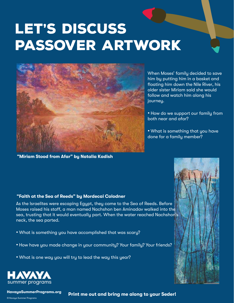## LET'S DISCUSS Passover artwork



**"Miriam Stood from Afar" by Natalia Kadish**

When Moses' family decided to save him by putting him in a basket and floating him down the Nile River, his older sister Miriam said she would follow and watch him along his journey.

• How do we support our family from both near and afar?

• What is something that you have done for a family member?

#### **"Faith at the Sea of Reeds" by Mordecai Colodner**

As the Israelites were escaping Egypt, they came to the Sea of Reeds. Before Moses raised his staff, a man named Nachshon ben Aminadav walked into the sea, trusting that it would eventually part. When the water reached Nachshon's neck, the sea parted.

- What is something you have accomplished that was scary?
- How have you made change in your community? Your family? Your friends?
- What is one way you will try to lead the way this year?



© Havaya Summer Programs

**HavayaSummerPrograms.org**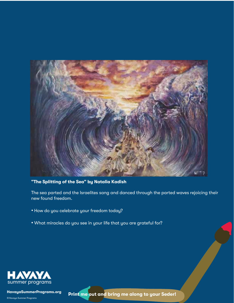

#### **"The Splitting of the Sea" by Natalia Kadish**

The sea parted and the Israelites sang and danced through the parted waves rejoicing their new found freedom.

- How do you celebrate your freedom today?
- What miracles do you see in your life that you are grateful for?



**HavayaSummerPrograms.org**

© Havaya Summer Programs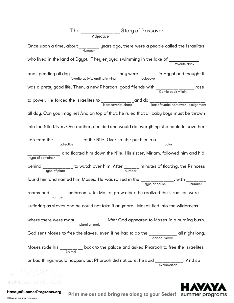### The **\_\_\_\_\_\_\_ \_\_\_\_\_\_** Story of Passover Adjective Once upon a time, about \_\_\_\_\_\_\_\_ years ago, there were a people called the Israelites Number who lived in the land of Egypt. They enjoyed swimming in the lake of \_\_\_\_\_ and spending all day  $\frac{1}{\text{favorite activity ending in -ing}}$ . They were  $\frac{1}{\text{adjective}}$  in Egypt and thought it was a pretty good life. Then, a new Pharaoh, good friends with \_\_\_\_\_\_\_\_\_\_\_\_\_\_\_\_\_ to power. He forced the Israelites to \_\_\_\_\_\_\_\_\_\_\_\_\_and do \_\_\_\_\_\_\_\_\_\_\_\_\_\_\_\_\_\_\_\_\_\_ least favorite chore least favorite homework assignment all day. Can you imagine! And on top of that, he ruled that all baby boys must be thrown into the Nile Ri ver. One mother, decided she would do everything she could to save her son from the  $\frac{1}{\text{adjective}}$  of the Nile River so she put him in a  $\frac{1}{\text{color}}$ \_\_\_\_\_\_\_\_\_\_\_\_\_ and floated him down the Nile. His sister, Miriam, followed him and hid type of container behind  $\frac{1}{\text{type of plant}}$  to watch over him. After  $\frac{1}{\text{number}}$  minutes of floating, the Princess found him and named him Moses. He was raised in the  $\frac{1}{\text{type of house}}$ , with  $\frac{1}{\text{number}}$ rooms and \_\_\_\_\_\_\_\_bathrooms. As Moses grew older, he realized the Israelites were suffering as slaves and he could not take it anymore. Moses fled into the wilderness where there were many  $\frac{1}{p\left\lfloor \frac{m}{p}\right\rfloor -1}$ . After God appeared to Moses in a burning bush, God sent Moses to free the slaves, even if he had to do the \_\_\_\_\_\_\_\_\_\_\_\_ all night long.<br>dance move Moses rode his  $\frac{1}{\text{Animal}}$  back to the palace and asked Pharaoh to free the Israelites or bad things would happen, but Pharaoh did not care, he said \_\_\_\_\_\_\_\_\_\_\_\_. And so WWW. WW



**HavayaSummerPrograms.org**

summer oroonams

© Havaya Summer Programs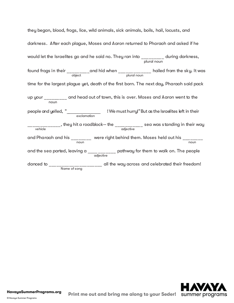they began, blood, frogs, lice, wild animals, sick animals, boils, hail, locusts, and darkness. After each plague, Moses and Aaron returned to Pharaoh and asked if he would let the Israelites go and he said no. They ran into \_\_\_\_\_\_\_\_\_ during darkness,<br>plural noun found frogs in their  $\frac{1}{\text{object}}$  and hid when  $\frac{1}{\text{pixel}}$  plural noun hailed from the sky. It was time for the largest plague yet, death of the first born. The next day, Pharaoh said pack up your \_\_\_\_\_\_\_\_ and head out of town, this is over. Moses and Aaron went to the noun people and yelled, "\_\_\_\_\_\_\_\_\_\_\_\_\_\_\_ !We musthurry!" But as the Israelites left in their exclamation  $\frac{1}{1}$  \_\_\_\_\_\_\_\_\_, they hit a roadblock-- the \_\_\_\_\_\_\_\_\_\_\_\_\_ sea was s tanding in their way and Pharaoh and his \_\_\_\_\_\_\_\_ were right behind them. Moses held out his \_\_\_\_\_\_\_\_ and the sea parted, leaving a \_\_\_\_\_\_\_\_\_\_\_\_\_ pathway for them to walk on. The people adjective danced to \_\_\_\_\_\_\_\_\_\_\_\_\_\_\_\_\_\_\_\_ all the way across and celebrated their freedom! Name of song



**HavayaSummerPrograms.org**